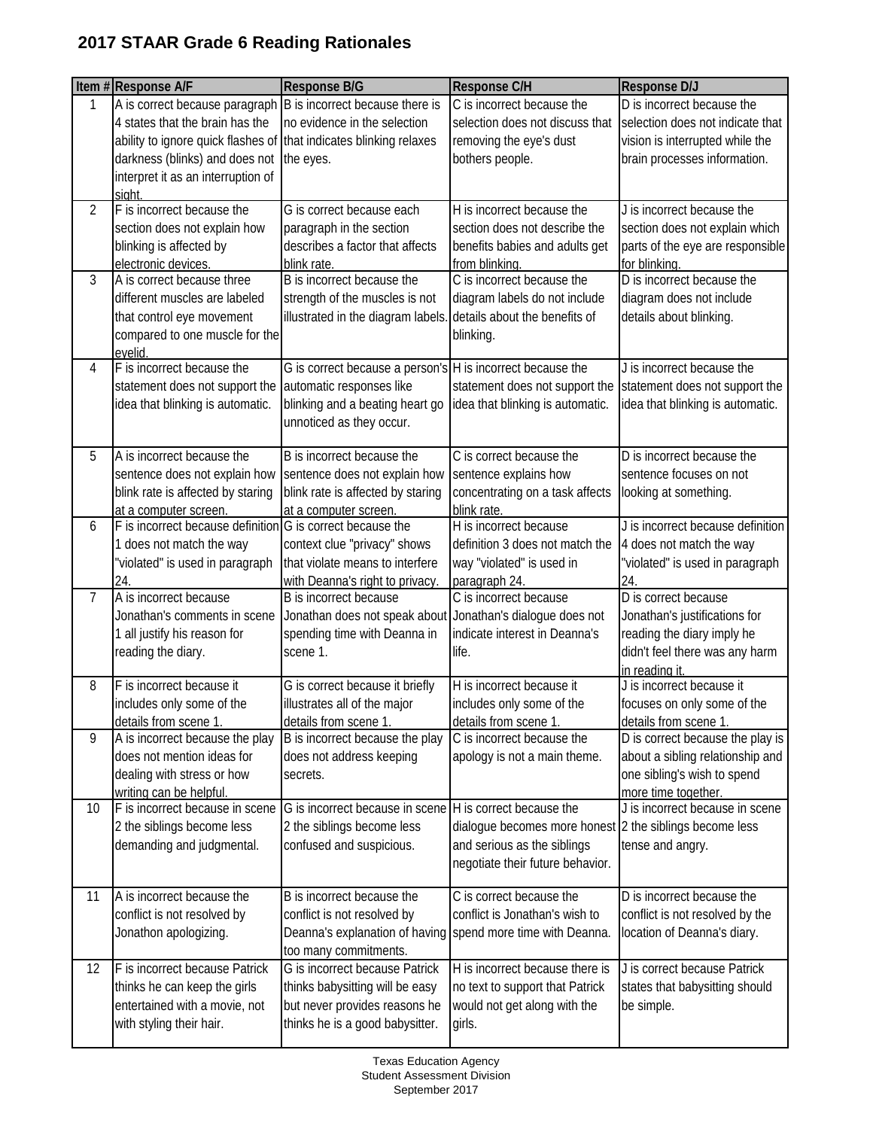|    | Item #Response A/F                                                                                                                      | <b>Response B/G</b>                                                                                                                                   | Response C/H                                                                                                                                           | <b>Response D/J</b>                                                                                                                    |
|----|-----------------------------------------------------------------------------------------------------------------------------------------|-------------------------------------------------------------------------------------------------------------------------------------------------------|--------------------------------------------------------------------------------------------------------------------------------------------------------|----------------------------------------------------------------------------------------------------------------------------------------|
| 1  | A is correct because paragraph<br>4 states that the brain has the<br>ability to ignore quick flashes of that indicates blinking relaxes | B is incorrect because there is<br>no evidence in the selection                                                                                       | C is incorrect because the<br>selection does not discuss that<br>removing the eye's dust                                                               | D is incorrect because the<br>selection does not indicate that<br>vision is interrupted while the                                      |
|    | darkness (blinks) and does not<br>interpret it as an interruption of<br>siaht                                                           | the eyes.                                                                                                                                             | bothers people.                                                                                                                                        | brain processes information.                                                                                                           |
| 2  | F is incorrect because the<br>section does not explain how<br>blinking is affected by<br>electronic devices.                            | G is correct because each<br>paragraph in the section<br>describes a factor that affects<br>blink rate.                                               | H is incorrect because the<br>section does not describe the<br>benefits babies and adults get<br>from blinking.                                        | J is incorrect because the<br>section does not explain which<br>parts of the eye are responsible<br>for blinking.                      |
| 3  | A is correct because three<br>different muscles are labeled<br>that control eye movement<br>compared to one muscle for the<br>evelid.   | B is incorrect because the<br>strength of the muscles is not<br>illustrated in the diagram labels                                                     | C is incorrect because the<br>diagram labels do not include<br>details about the benefits of<br>blinking.                                              | D is incorrect because the<br>diagram does not include<br>details about blinking.                                                      |
| 4  | F is incorrect because the<br>statement does not support the<br>idea that blinking is automatic.                                        | G is correct because a person's H is incorrect because the<br>automatic responses like<br>blinking and a beating heart go<br>unnoticed as they occur. | statement does not support the<br>idea that blinking is automatic.                                                                                     | J is incorrect because the<br>statement does not support the<br>idea that blinking is automatic.                                       |
| 5  | A is incorrect because the<br>sentence does not explain how<br>blink rate is affected by staring<br>at a computer screen.               | B is incorrect because the<br>sentence does not explain how<br>blink rate is affected by staring<br>at a computer screen.                             | C is correct because the<br>sentence explains how<br>concentrating on a task affects<br>blink rate.                                                    | D is incorrect because the<br>sentence focuses on not<br>looking at something.                                                         |
| 6  | F is incorrect because definition G is correct because the<br>1 does not match the way<br>"violated" is used in paragraph<br>24.        | context clue "privacy" shows<br>that violate means to interfere<br>with Deanna's right to privacy.                                                    | H is incorrect because<br>definition 3 does not match the<br>way "violated" is used in<br>paragraph 24.                                                | J is incorrect because definition<br>4 does not match the way<br>'violated" is used in paragraph<br>24.                                |
| 7  | A is incorrect because<br>Jonathan's comments in scene<br>1 all justify his reason for<br>reading the diary.                            | B is incorrect because<br>Jonathan does not speak about<br>spending time with Deanna in<br>scene 1.                                                   | C is incorrect because<br>Jonathan's dialogue does not<br>indicate interest in Deanna's<br>life.                                                       | D is correct because<br>Jonathan's justifications for<br>reading the diary imply he<br>didn't feel there was any harm<br>in reading it |
| 8  | F is incorrect because it<br>includes only some of the<br>details from scene 1.                                                         | G is correct because it briefly<br>illustrates all of the major<br>details from scene 1.                                                              | H is incorrect because it<br>includes only some of the<br>details from scene 1.                                                                        | J is incorrect because it<br>focuses on only some of the<br>details from scene 1.                                                      |
| 9  | A is incorrect because the play<br>does not mention ideas for<br>dealing with stress or how<br>writing can be helpful.                  | B is incorrect because the play<br>does not address keeping<br>secrets.                                                                               | C is incorrect because the<br>apology is not a main theme.                                                                                             | D is correct because the play is<br>about a sibling relationship and<br>one sibling's wish to spend<br>more time together.             |
| 10 | F is incorrect because in scene<br>2 the siblings become less<br>demanding and judgmental.                                              | G is incorrect because in scene<br>2 the siblings become less<br>confused and suspicious.                                                             | H is correct because the<br>dialogue becomes more honest 2 the siblings become less<br>and serious as the siblings<br>negotiate their future behavior. | J is incorrect because in scene<br>tense and angry.                                                                                    |
| 11 | A is incorrect because the<br>conflict is not resolved by<br>Jonathon apologizing.                                                      | B is incorrect because the<br>conflict is not resolved by<br>Deanna's explanation of having<br>too many commitments.                                  | C is correct because the<br>conflict is Jonathan's wish to<br>spend more time with Deanna.                                                             | D is incorrect because the<br>conflict is not resolved by the<br>location of Deanna's diary.                                           |
| 12 | F is incorrect because Patrick<br>thinks he can keep the girls<br>entertained with a movie, not<br>with styling their hair.             | G is incorrect because Patrick<br>thinks babysitting will be easy<br>but never provides reasons he<br>thinks he is a good babysitter.                 | H is incorrect because there is<br>no text to support that Patrick<br>would not get along with the<br>girls.                                           | J is correct because Patrick<br>states that babysitting should<br>be simple.                                                           |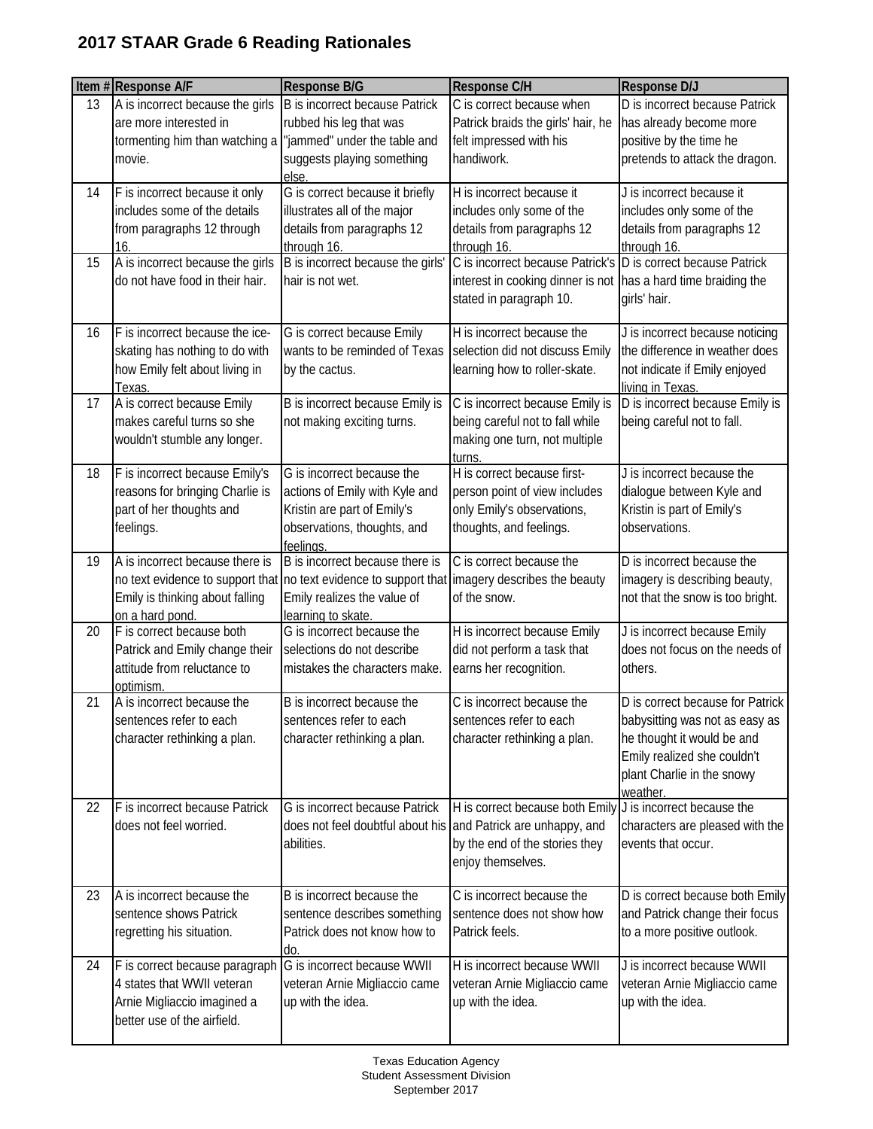|    | Item #Response A/F               | <b>Response B/G</b>                                                                            | Response C/H                                                   | Response D/J                     |
|----|----------------------------------|------------------------------------------------------------------------------------------------|----------------------------------------------------------------|----------------------------------|
| 13 | A is incorrect because the girls | <b>B</b> is incorrect because Patrick                                                          | C is correct because when                                      | D is incorrect because Patrick   |
|    | are more interested in           | rubbed his leg that was                                                                        | Patrick braids the girls' hair, he                             | has already become more          |
|    | tormenting him than watching a   | "jammed" under the table and                                                                   | felt impressed with his                                        | positive by the time he          |
|    | movie.                           | suggests playing something                                                                     | handiwork.                                                     | pretends to attack the dragon.   |
|    |                                  | else.                                                                                          |                                                                |                                  |
| 14 | F is incorrect because it only   | G is correct because it briefly                                                                | H is incorrect because it                                      | J is incorrect because it        |
|    | includes some of the details     | illustrates all of the major                                                                   | includes only some of the                                      | includes only some of the        |
|    | from paragraphs 12 through       | details from paragraphs 12                                                                     | details from paragraphs 12                                     | details from paragraphs 12       |
|    | 16.                              | through 16.                                                                                    | through 16.                                                    | through 16.                      |
| 15 | A is incorrect because the girls | B is incorrect because the girls'                                                              | C is incorrect because Patrick's                               | D is correct because Patrick     |
|    | do not have food in their hair.  | hair is not wet.                                                                               | interest in cooking dinner is not has a hard time braiding the |                                  |
|    |                                  |                                                                                                | stated in paragraph 10.                                        | girls' hair.                     |
| 16 | F is incorrect because the ice-  | G is correct because Emily                                                                     | H is incorrect because the                                     | J is incorrect because noticing  |
|    | skating has nothing to do with   | wants to be reminded of Texas                                                                  | selection did not discuss Emily                                | the difference in weather does   |
|    | how Emily felt about living in   | by the cactus.                                                                                 | learning how to roller-skate.                                  | not indicate if Emily enjoyed    |
|    | Texas.                           |                                                                                                |                                                                | living in Texas.                 |
| 17 | A is correct because Emily       | B is incorrect because Emily is                                                                | C is incorrect because Emily is                                | D is incorrect because Emily is  |
|    | makes careful turns so she       | not making exciting turns.                                                                     | being careful not to fall while                                | being careful not to fall.       |
|    | wouldn't stumble any longer.     |                                                                                                | making one turn, not multiple                                  |                                  |
|    |                                  |                                                                                                | turns.                                                         |                                  |
| 18 | F is incorrect because Emily's   | G is incorrect because the                                                                     | H is correct because first-                                    | J is incorrect because the       |
|    | reasons for bringing Charlie is  | actions of Emily with Kyle and                                                                 | person point of view includes                                  | dialogue between Kyle and        |
|    | part of her thoughts and         | Kristin are part of Emily's                                                                    | only Emily's observations,                                     | Kristin is part of Emily's       |
|    | feelings.                        | observations, thoughts, and                                                                    | thoughts, and feelings.                                        | observations.                    |
| 19 | A is incorrect because there is  | feelings.<br>B is incorrect because there is                                                   | C is correct because the                                       | D is incorrect because the       |
|    |                                  | no text evidence to support that no text evidence to support that imagery describes the beauty |                                                                | imagery is describing beauty,    |
|    | Emily is thinking about falling  | Emily realizes the value of                                                                    | of the snow.                                                   | not that the snow is too bright. |
|    | on a hard pond.                  | learning to skate.                                                                             |                                                                |                                  |
| 20 | F is correct because both        | G is incorrect because the                                                                     | H is incorrect because Emily                                   | J is incorrect because Emily     |
|    | Patrick and Emily change their   | selections do not describe                                                                     | did not perform a task that                                    | does not focus on the needs of   |
|    | attitude from reluctance to      | mistakes the characters make.                                                                  | earns her recognition.                                         | others.                          |
|    | optimism.                        |                                                                                                |                                                                |                                  |
| 21 | A is incorrect because the       | B is incorrect because the                                                                     | C is incorrect because the                                     | D is correct because for Patrick |
|    | sentences refer to each          | sentences refer to each                                                                        | sentences refer to each                                        | babysitting was not as easy as   |
|    | character rethinking a plan.     | character rethinking a plan.                                                                   | character rethinking a plan.                                   | he thought it would be and       |
|    |                                  |                                                                                                |                                                                | Emily realized she couldn't      |
|    |                                  |                                                                                                |                                                                | plant Charlie in the snowy       |
| 22 | F is incorrect because Patrick   | G is incorrect because Patrick                                                                 | H is correct because both Emily J is incorrect because the     | weather.                         |
|    | does not feel worried.           | does not feel doubtful about his and Patrick are unhappy, and                                  |                                                                | characters are pleased with the  |
|    |                                  | abilities.                                                                                     | by the end of the stories they                                 | events that occur.               |
|    |                                  |                                                                                                | enjoy themselves.                                              |                                  |
|    |                                  |                                                                                                |                                                                |                                  |
| 23 | A is incorrect because the       | B is incorrect because the                                                                     | C is incorrect because the                                     | D is correct because both Emily  |
|    | sentence shows Patrick           | sentence describes something                                                                   | sentence does not show how                                     | and Patrick change their focus   |
|    | regretting his situation.        | Patrick does not know how to                                                                   | Patrick feels.                                                 | to a more positive outlook.      |
|    |                                  | do.                                                                                            |                                                                |                                  |
| 24 | F is correct because paragraph   | G is incorrect because WWII                                                                    | H is incorrect because WWII                                    | J is incorrect because WWII      |
|    | 4 states that WWII veteran       | veteran Arnie Migliaccio came                                                                  | veteran Arnie Migliaccio came                                  | veteran Arnie Migliaccio came    |
|    | Arnie Migliaccio imagined a      | up with the idea.                                                                              | up with the idea.                                              | up with the idea.                |
|    | better use of the airfield.      |                                                                                                |                                                                |                                  |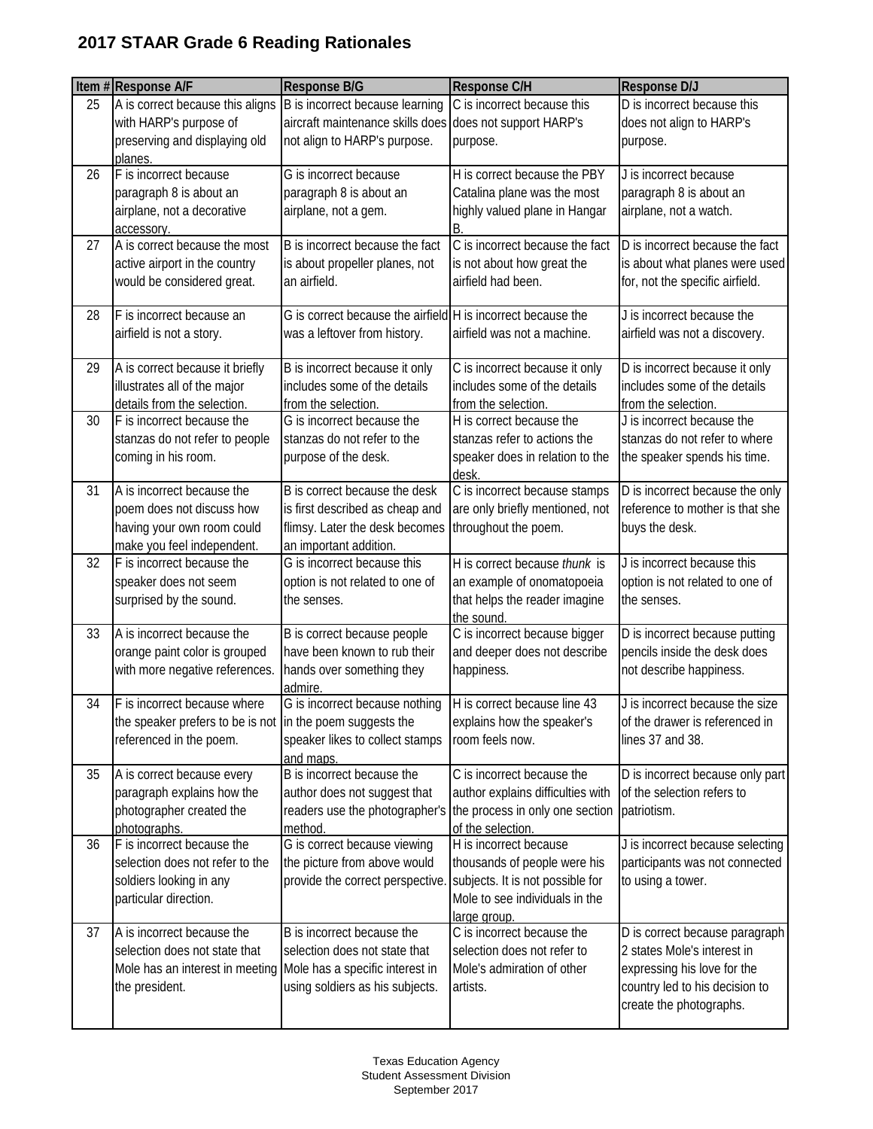|    | Item #Response A/F                                              | Response B/G                                                 | Response C/H                                      | <b>Response D/J</b>                                |
|----|-----------------------------------------------------------------|--------------------------------------------------------------|---------------------------------------------------|----------------------------------------------------|
| 25 | A is correct because this aligns                                | B is incorrect because learning                              | C is incorrect because this                       | D is incorrect because this                        |
|    | with HARP's purpose of                                          | aircraft maintenance skills does                             | does not support HARP's                           | does not align to HARP's                           |
|    | preserving and displaying old                                   | not align to HARP's purpose.                                 | purpose.                                          | purpose.                                           |
| 26 | planes.<br>F is incorrect because                               | G is incorrect because                                       | H is correct because the PBY                      | J is incorrect because                             |
|    | paragraph 8 is about an                                         | paragraph 8 is about an                                      | Catalina plane was the most                       | paragraph 8 is about an                            |
|    | airplane, not a decorative                                      | airplane, not a gem.                                         | highly valued plane in Hangar                     | airplane, not a watch.                             |
|    | accessory.                                                      |                                                              | B.                                                |                                                    |
| 27 | A is correct because the most                                   | B is incorrect because the fact                              | C is incorrect because the fact                   | D is incorrect because the fact                    |
|    | active airport in the country                                   | is about propeller planes, not                               | is not about how great the                        | is about what planes were used                     |
|    | would be considered great.                                      | an airfield.                                                 | airfield had been.                                | for, not the specific airfield.                    |
| 28 | F is incorrect because an                                       | G is correct because the airfield H is incorrect because the |                                                   | J is incorrect because the                         |
|    | airfield is not a story.                                        | was a leftover from history.                                 | airfield was not a machine.                       | airfield was not a discovery.                      |
|    |                                                                 |                                                              |                                                   |                                                    |
| 29 | A is correct because it briefly                                 | B is incorrect because it only                               | C is incorrect because it only                    | D is incorrect because it only                     |
|    | illustrates all of the major                                    | includes some of the details                                 | includes some of the details                      | includes some of the details                       |
| 30 | details from the selection.<br>F is incorrect because the       | from the selection.<br>G is incorrect because the            | from the selection.<br>H is correct because the   | from the selection.<br>J is incorrect because the  |
|    | stanzas do not refer to people                                  | stanzas do not refer to the                                  | stanzas refer to actions the                      | stanzas do not refer to where                      |
|    | coming in his room.                                             | purpose of the desk.                                         | speaker does in relation to the                   | the speaker spends his time.                       |
|    |                                                                 |                                                              | desk                                              |                                                    |
| 31 | A is incorrect because the                                      | B is correct because the desk                                | C is incorrect because stamps                     | D is incorrect because the only                    |
|    | poem does not discuss how                                       | is first described as cheap and                              | are only briefly mentioned, not                   | reference to mother is that she                    |
|    | having your own room could                                      | flimsy. Later the desk becomes                               | throughout the poem.                              | buys the desk.                                     |
|    | make you feel independent.                                      | an important addition.                                       |                                                   |                                                    |
| 32 | F is incorrect because the                                      | G is incorrect because this                                  | H is correct because thunk is                     | J is incorrect because this                        |
|    | speaker does not seem                                           | option is not related to one of                              | an example of onomatopoeia                        | option is not related to one of                    |
|    | surprised by the sound.                                         | the senses.                                                  | that helps the reader imagine<br>the sound        | the senses.                                        |
| 33 | A is incorrect because the                                      | B is correct because people                                  | C is incorrect because bigger                     | D is incorrect because putting                     |
|    | orange paint color is grouped                                   | have been known to rub their                                 | and deeper does not describe                      | pencils inside the desk does                       |
|    | with more negative references.                                  | hands over something they                                    | happiness.                                        | not describe happiness.                            |
|    |                                                                 | admire.                                                      |                                                   |                                                    |
| 34 | F is incorrect because where                                    | G is incorrect because nothing                               | H is correct because line 43                      | J is incorrect because the size                    |
|    | the speaker prefers to be is not in the poem suggests the       | speaker likes to collect stamps                              | explains how the speaker's<br>room feels now.     | of the drawer is referenced in<br>lines 37 and 38. |
|    | referenced in the poem.                                         | and maps.                                                    |                                                   |                                                    |
| 35 | A is correct because every                                      | B is incorrect because the                                   | C is incorrect because the                        | D is incorrect because only part                   |
|    | paragraph explains how the                                      | author does not suggest that                                 | author explains difficulties with                 | of the selection refers to                         |
|    | photographer created the                                        | readers use the photographer's                               | the process in only one section                   | patriotism.                                        |
|    | photographs.                                                    | method.                                                      | of the selection.                                 |                                                    |
| 36 | F is incorrect because the                                      | G is correct because viewing                                 | H is incorrect because                            | J is incorrect because selecting                   |
|    | selection does not refer to the                                 | the picture from above would                                 | thousands of people were his                      | participants was not connected                     |
|    | soldiers looking in any                                         | provide the correct perspective.                             | subjects. It is not possible for                  | to using a tower.                                  |
|    | particular direction.                                           |                                                              | Mole to see individuals in the                    |                                                    |
| 37 | A is incorrect because the                                      | B is incorrect because the                                   | <u>large</u> group.<br>C is incorrect because the | D is correct because paragraph                     |
|    | selection does not state that                                   | selection does not state that                                | selection does not refer to                       | 2 states Mole's interest in                        |
|    | Mole has an interest in meeting Mole has a specific interest in |                                                              | Mole's admiration of other                        | expressing his love for the                        |
|    | the president.                                                  | using soldiers as his subjects.                              | artists.                                          | country led to his decision to                     |
|    |                                                                 |                                                              |                                                   | create the photographs.                            |
|    |                                                                 |                                                              |                                                   |                                                    |